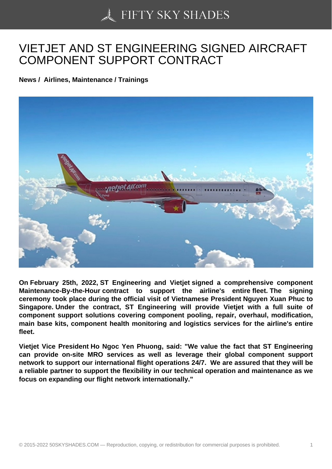## [VIETJET AND ST ENG](https://50skyshades.com)INEERING SIGNED AIRCRAFT COMPONENT SUPPORT CONTRACT

News / Airlines, Maintenance / Trainings

On February 25th, 2022, ST Engineering and Vietjet signed a comprehensive component Maintenance-By-the-Hour contract to support the airline's entire fleet. The signing ceremony took place during the official visit of Vietnamese President Nguyen Xuan Phuc to Singapore. Under the contract, ST Engineering will provide Vietjet with a full suite of component support solutions covering component pooling, repair, overhaul, modification, main base kits, component health monitoring and logistics services for the airline's entire fleet.

Vietjet Vice President Ho Ngoc Yen Phuong, said: "We value the fact that ST Engineering can provide on-site MRO services as well as leverage their global component support network to support our international flight operations 24/7. We are assured that they will be a reliable partner to support the flexibility in our technical operation and maintenance as we focus on expanding our flight network internationally."